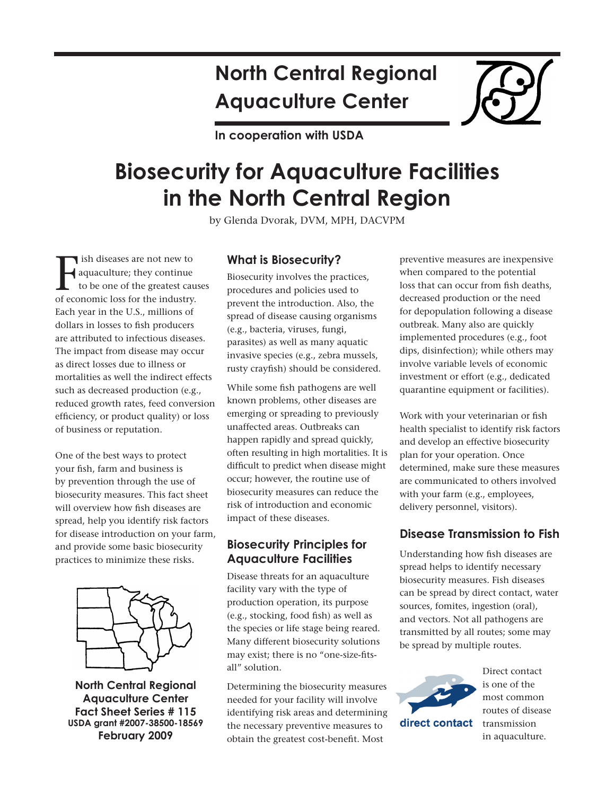# **North Central Regional Aquaculture Center**

**In cooperation with USDA**

# **Biosecurity for Aquaculture Facilities in the North Central Region**

by Glenda Dvorak, DVM, MPH, DACVPM

 ish diseases are not new to aquaculture; they continue to be one of the greatest causes ish diseases are not new to<br>aquaculture; they continue<br>to be one of the greatest caus<br>of economic loss for the industry. Each year in the U.S., millions of dollars in losses to fish producers are attributed to infectious diseases. The impact from disease may occur as direct losses due to illness or mortalities as well the indirect effects such as decreased production (e.g., reduced growth rates, feed conversion efficiency, or product quality) or loss of business or reputation.

One of the best ways to protect your fish, farm and business is by prevention through the use of biosecurity measures. This fact sheet will overview how fish diseases are spread, help you identify risk factors for disease introduction on your farm, and provide some basic biosecurity practices to minimize these risks.



**North Central Regional Aquaculture Center Fact Sheet Series # 115 USDA grant #2007-38500-18569 February 2009**

## **What is Biosecurity?**

Biosecurity involves the practices, procedures and policies used to prevent the introduction. Also, the spread of disease causing organisms (e.g., bacteria, viruses, fungi, parasites) as well as many aquatic invasive species (e.g., zebra mussels, rusty crayfish) should be considered.

While some fish pathogens are well known problems, other diseases are emerging or spreading to previously unaffected areas. Outbreaks can happen rapidly and spread quickly, often resulting in high mortalities. It is difficult to predict when disease might occur; however, the routine use of biosecurity measures can reduce the risk of introduction and economic impact of these diseases.

## **Biosecurity Principles for Aquaculture Facilities**

Disease threats for an aquaculture facility vary with the type of production operation, its purpose (e.g., stocking, food fish) as well as the species or life stage being reared. Many different biosecurity solutions may exist; there is no "one-size-fitsall" solution.

Determining the biosecurity measures needed for your facility will involve identifying risk areas and determining the necessary preventive measures to obtain the greatest cost-benefit. Most

preventive measures are inexpensive when compared to the potential loss that can occur from fish deaths, decreased production or the need for depopulation following a disease outbreak. Many also are quickly implemented procedures (e.g., foot dips, disinfection); while others may involve variable levels of economic investment or effort (e.g., dedicated quarantine equipment or facilities).

Work with your veterinarian or fish health specialist to identify risk factors and develop an effective biosecurity plan for your operation. Once determined, make sure these measures are communicated to others involved with your farm (e.g., employees, delivery personnel, visitors).

## **Disease Transmission to Fish**

Understanding how fish diseases are spread helps to identify necessary biosecurity measures. Fish diseases can be spread by direct contact, water sources, fomites, ingestion (oral), and vectors. Not all pathogens are transmitted by all routes; some may be spread by multiple routes.



is one of the most common routes of disease transmission in aquaculture.

Direct contact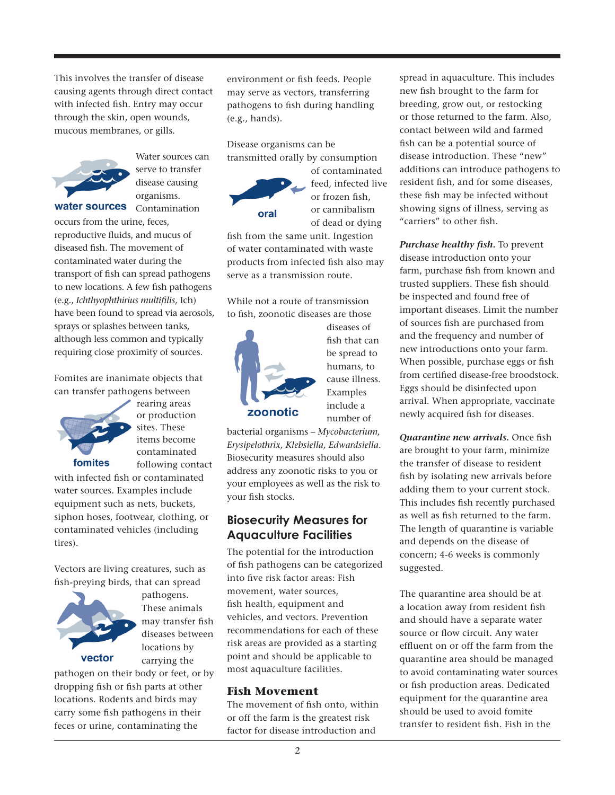This involves the transfer of disease causing agents through direct contact with infected fish. Entry may occur through the skin, open wounds, mucous membranes, or gills.



Water sources can serve to transfer disease causing organisms. water sources Contamination

occurs from the urine, feces, reproductive fluids, and mucus of diseased fish. The movement of contaminated water during the transport of fish can spread pathogens to new locations. A few fish pathogens (e.g., *Ichthyophthirius multifilis,* Ich) have been found to spread via aerosols, sprays or splashes between tanks, although less common and typically requiring close proximity of sources.

Fomites are inanimate objects that can transfer pathogens between



rearing areas or production sites. These items become contaminated following contact

with infected fish or contaminated water sources. Examples include equipment such as nets, buckets, siphon hoses, footwear, clothing, or contaminated vehicles (including tires).

Vectors are living creatures, such as fish-preying birds, that can spread



pathogens. These animals may transfer fish diseases between locations by carrying the

pathogen on their body or feet, or by dropping fish or fish parts at other locations. Rodents and birds may carry some fish pathogens in their feces or urine, contaminating the

environment or fish feeds. People may serve as vectors, transferring pathogens to fish during handling (e.g., hands).

Disease organisms can be transmitted orally by consumption



of contaminated feed, infected live or frozen fish, or cannibalism of dead or dying

fish from the same unit. Ingestion of water contaminated with waste products from infected fish also may serve as a transmission route.

While not a route of transmission to fish, zoonotic diseases are those



diseases of fish that can be spread to humans, to cause illness. Examples include a number of

bacterial organisms – *Mycobacterium, Erysipelothrix, Klebsiella, Edwardsiella.* Biosecurity measures should also address any zoonotic risks to you or your employees as well as the risk to your fish stocks.

## **Biosecurity Measures for Aquaculture Facilities**

The potential for the introduction of fish pathogens can be categorized into five risk factor areas: Fish movement, water sources, fish health, equipment and vehicles, and vectors. Prevention recommendations for each of these risk areas are provided as a starting point and should be applicable to most aquaculture facilities.

#### **Fish Movement**

The movement of fish onto, within or off the farm is the greatest risk factor for disease introduction and

spread in aquaculture. This includes new fish brought to the farm for breeding, grow out, or restocking or those returned to the farm. Also, contact between wild and farmed fish can be a potential source of disease introduction. These "new" additions can introduce pathogens to resident fish, and for some diseases, these fish may be infected without showing signs of illness, serving as "carriers" to other fish.

*Purchase healthy fish.* To prevent disease introduction onto your farm, purchase fish from known and trusted suppliers. These fish should be inspected and found free of important diseases. Limit the number of sources fish are purchased from and the frequency and number of new introductions onto your farm. When possible, purchase eggs or fish from certified disease-free broodstock. Eggs should be disinfected upon arrival. When appropriate, vaccinate newly acquired fish for diseases.

*Quarantine new arrivals.* Once fish are brought to your farm, minimize the transfer of disease to resident fish by isolating new arrivals before adding them to your current stock. This includes fish recently purchased as well as fish returned to the farm. The length of quarantine is variable and depends on the disease of concern; 4-6 weeks is commonly suggested.

The quarantine area should be at a location away from resident fish and should have a separate water source or flow circuit. Any water effluent on or off the farm from the quarantine area should be managed to avoid contaminating water sources or fish production areas. Dedicated equipment for the quarantine area should be used to avoid fomite transfer to resident fish. Fish in the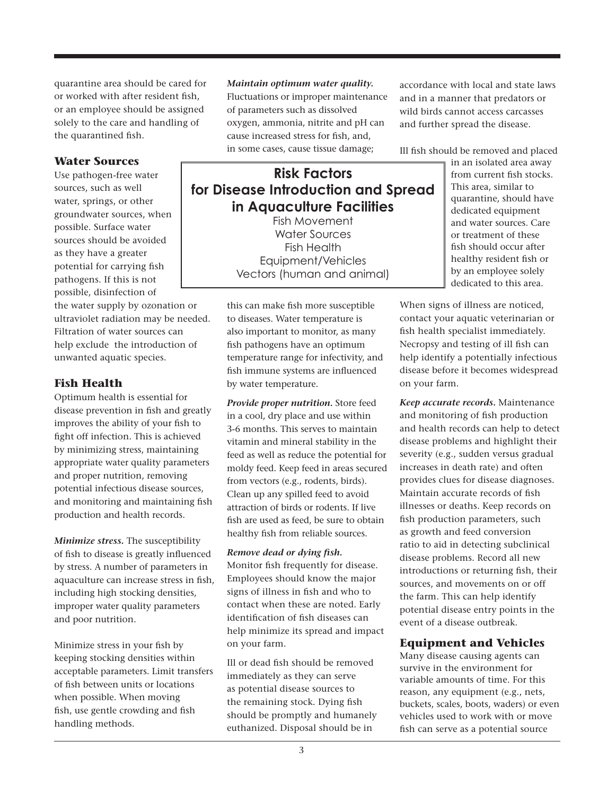quarantine area should be cared for or worked with after resident fish, or an employee should be assigned solely to the care and handling of the quarantined fish.

## **Water Sources**

Use pathogen-free water sources, such as well water, springs, or other groundwater sources, when possible. Surface water sources should be avoided as they have a greater potential for carrying fish pathogens. If this is not possible, disinfection of

the water supply by ozonation or ultraviolet radiation may be needed. Filtration of water sources can help exclude the introduction of unwanted aquatic species.

## **Fish Health**

Optimum health is essential for disease prevention in fish and greatly improves the ability of your fish to fight off infection. This is achieved by minimizing stress, maintaining appropriate water quality parameters and proper nutrition, removing potential infectious disease sources, and monitoring and maintaining fish production and health records.

*Minimize stress.* The susceptibility of fish to disease is greatly influenced by stress. A number of parameters in aquaculture can increase stress in fish, including high stocking densities, improper water quality parameters and poor nutrition.

Minimize stress in your fish by keeping stocking densities within acceptable parameters. Limit transfers of fish between units or locations when possible. When moving fish, use gentle crowding and fish handling methods.

#### *Maintain optimum water quality.*

Fluctuations or improper maintenance of parameters such as dissolved oxygen, ammonia, nitrite and pH can cause increased stress for fish, and, in some cases, cause tissue damage;

# **Risk Factors for Disease Introduction and Spread in Aquaculture Facilities**

Fish Movement Water Sources Fish Health Equipment/Vehicles Vectors (human and animal)

this can make fish more susceptible to diseases. Water temperature is also important to monitor, as many fish pathogens have an optimum temperature range for infectivity, and fish immune systems are influenced by water temperature.

*Provide proper nutrition.* Store feed in a cool, dry place and use within 3-6 months. This serves to maintain vitamin and mineral stability in the feed as well as reduce the potential for moldy feed. Keep feed in areas secured from vectors (e.g., rodents, birds). Clean up any spilled feed to avoid attraction of birds or rodents. If live fish are used as feed, be sure to obtain healthy fish from reliable sources.

#### *Remove dead or dying fish.*

Monitor fish frequently for disease. Employees should know the major signs of illness in fish and who to contact when these are noted. Early identification of fish diseases can help minimize its spread and impact on your farm.

Ill or dead fish should be removed immediately as they can serve as potential disease sources to the remaining stock. Dying fish should be promptly and humanely euthanized. Disposal should be in

accordance with local and state laws and in a manner that predators or wild birds cannot access carcasses and further spread the disease.

Ill fish should be removed and placed

in an isolated area away from current fish stocks. This area, similar to quarantine, should have dedicated equipment and water sources. Care or treatment of these fish should occur after healthy resident fish or by an employee solely dedicated to this area.

When signs of illness are noticed, contact your aquatic veterinarian or fish health specialist immediately. Necropsy and testing of ill fish can help identify a potentially infectious disease before it becomes widespread on your farm.

*Keep accurate records.* Maintenance and monitoring of fish production and health records can help to detect disease problems and highlight their severity (e.g., sudden versus gradual increases in death rate) and often provides clues for disease diagnoses. Maintain accurate records of fish illnesses or deaths. Keep records on fish production parameters, such as growth and feed conversion ratio to aid in detecting subclinical disease problems. Record all new introductions or returning fish, their sources, and movements on or off the farm. This can help identify potential disease entry points in the event of a disease outbreak.

## **Equipment and Vehicles**

Many disease causing agents can survive in the environment for variable amounts of time. For this reason, any equipment (e.g., nets, buckets, scales, boots, waders) or even vehicles used to work with or move fish can serve as a potential source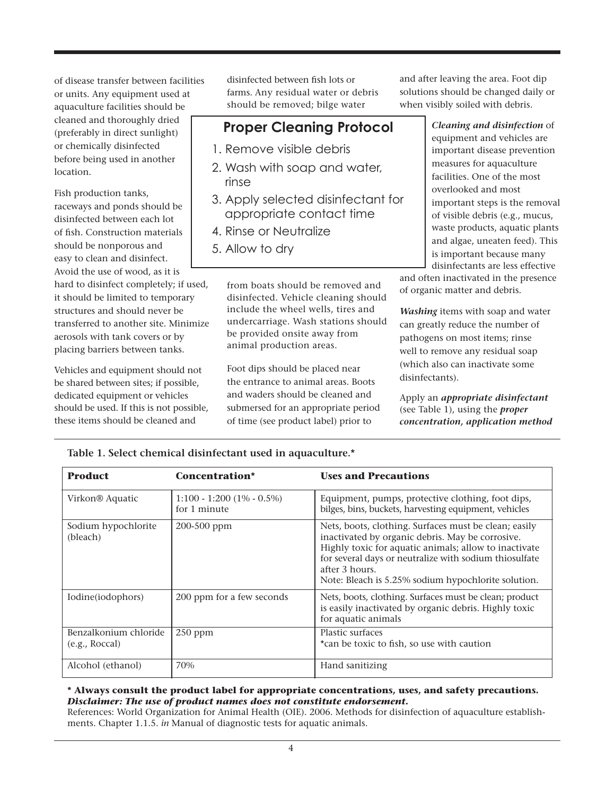of disease transfer between facilities or units. Any equipment used at aquaculture facilities should be cleaned and thoroughly dried (preferably in direct sunlight) or chemically disinfected before being used in another location.

Fish production tanks, raceways and ponds should be disinfected between each lot of fish. Construction materials should be nonporous and easy to clean and disinfect. Avoid the use of wood, as it is hard to disinfect completely; if used, it should be limited to temporary structures and should never be transferred to another site. Minimize aerosols with tank covers or by placing barriers between tanks.

Vehicles and equipment should not be shared between sites; if possible, dedicated equipment or vehicles should be used. If this is not possible, these items should be cleaned and

disinfected between fish lots or farms. Any residual water or debris should be removed; bilge water

# **Proper Cleaning Protocol**

- 1. Remove visible debris
- 2. Wash with soap and water, rinse
- 3. Apply selected disinfectant for appropriate contact time
- 4. Rinse or Neutralize
- 5. Allow to dry

from boats should be removed and disinfected. Vehicle cleaning should include the wheel wells, tires and undercarriage. Wash stations should be provided onsite away from animal production areas.

Foot dips should be placed near the entrance to animal areas. Boots and waders should be cleaned and submersed for an appropriate period of time (see product label) prior to

and after leaving the area. Foot dip solutions should be changed daily or when visibly soiled with debris.

> *Cleaning and disinfection* of equipment and vehicles are important disease prevention measures for aquaculture facilities. One of the most overlooked and most important steps is the removal of visible debris (e.g., mucus, waste products, aquatic plants and algae, uneaten feed). This is important because many disinfectants are less effective

and often inactivated in the presence of organic matter and debris.

*Washing* items with soap and water can greatly reduce the number of pathogens on most items; rinse well to remove any residual soap (which also can inactivate some disinfectants).

Apply an *appropriate disinfectant* (see Table 1), using the *proper concentration, application method* 

| <b>Product</b>                          | Concentration*                               | <b>Uses and Precautions</b>                                                                                                                                                                                                                                                                           |
|-----------------------------------------|----------------------------------------------|-------------------------------------------------------------------------------------------------------------------------------------------------------------------------------------------------------------------------------------------------------------------------------------------------------|
| Virkon® Aquatic                         | $1:100 - 1:200(1\% - 0.5\%)$<br>for 1 minute | Equipment, pumps, protective clothing, foot dips,<br>bilges, bins, buckets, harvesting equipment, vehicles                                                                                                                                                                                            |
| Sodium hypochlorite<br>(bleach)         | 200-500 ppm                                  | Nets, boots, clothing. Surfaces must be clean; easily<br>inactivated by organic debris. May be corrosive.<br>Highly toxic for aquatic animals; allow to inactivate<br>for several days or neutralize with sodium thiosulfate<br>after 3 hours.<br>Note: Bleach is 5.25% sodium hypochlorite solution. |
| Iodine(iodophors)                       | 200 ppm for a few seconds                    | Nets, boots, clothing. Surfaces must be clean; product<br>is easily inactivated by organic debris. Highly toxic<br>for aquatic animals                                                                                                                                                                |
| Benzalkonium chloride<br>(e.g., Roccal) | $250$ ppm                                    | Plastic surfaces<br>*can be toxic to fish, so use with caution                                                                                                                                                                                                                                        |
| Alcohol (ethanol)                       | 70%                                          | Hand sanitizing                                                                                                                                                                                                                                                                                       |

**Table 1. Select chemical disinfectant used in aquaculture.\***

#### **\* Always consult the product label for appropriate concentrations, uses, and safety precautions.** *Disclaimer: The use of product names does not constitute endorsement.*

References: World Organization for Animal Health (OIE). 2006. Methods for disinfection of aquaculture establishments. Chapter 1.1.5. *in* Manual of diagnostic tests for aquatic animals.